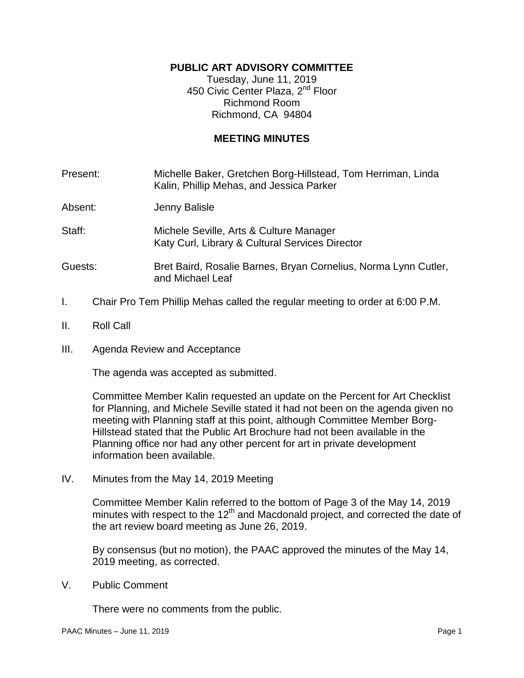# **PUBLIC ART ADVISORY COMMITTEE**

Tuesday, June 11, 2019 450 Civic Center Plaza, 2<sup>nd</sup> Floor Richmond Room Richmond, CA 94804

## **MEETING MINUTES**

Present: Michelle Baker, Gretchen Borg-Hillstead, Tom Herriman, Linda Kalin, Phillip Mehas, and Jessica Parker

- Absent: Jenny Balisle
- Staff: Michele Seville, Arts & Culture Manager Katy Curl, Library & Cultural Services Director
- Guests: Bret Baird, Rosalie Barnes, Bryan Cornelius, Norma Lynn Cutler, and Michael Leaf
- I. Chair Pro Tem Phillip Mehas called the regular meeting to order at 6:00 P.M.
- II. Roll Call
- III. Agenda Review and Acceptance

The agenda was accepted as submitted.

Committee Member Kalin requested an update on the Percent for Art Checklist for Planning, and Michele Seville stated it had not been on the agenda given no meeting with Planning staff at this point, although Committee Member Borg-Hillstead stated that the Public Art Brochure had not been available in the Planning office nor had any other percent for art in private development information been available.

IV. Minutes from the May 14, 2019 Meeting

Committee Member Kalin referred to the bottom of Page 3 of the May 14, 2019 minutes with respect to the  $12<sup>th</sup>$  and Macdonald project, and corrected the date of the art review board meeting as June 26, 2019.

By consensus (but no motion), the PAAC approved the minutes of the May 14, 2019 meeting, as corrected.

V. Public Comment

There were no comments from the public.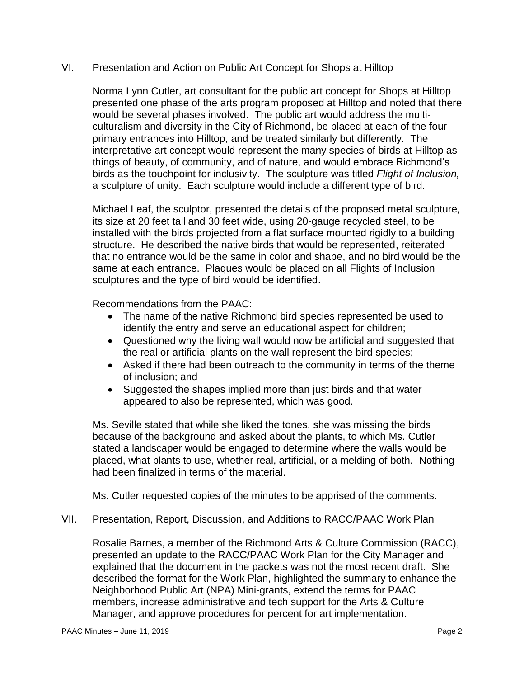## VI. Presentation and Action on Public Art Concept for Shops at Hilltop

Norma Lynn Cutler, art consultant for the public art concept for Shops at Hilltop presented one phase of the arts program proposed at Hilltop and noted that there would be several phases involved. The public art would address the multiculturalism and diversity in the City of Richmond, be placed at each of the four primary entrances into Hilltop, and be treated similarly but differently. The interpretative art concept would represent the many species of birds at Hilltop as things of beauty, of community, and of nature, and would embrace Richmond's birds as the touchpoint for inclusivity. The sculpture was titled *Flight of Inclusion,*  a sculpture of unity. Each sculpture would include a different type of bird.

Michael Leaf, the sculptor, presented the details of the proposed metal sculpture, its size at 20 feet tall and 30 feet wide, using 20-gauge recycled steel, to be installed with the birds projected from a flat surface mounted rigidly to a building structure. He described the native birds that would be represented, reiterated that no entrance would be the same in color and shape, and no bird would be the same at each entrance. Plaques would be placed on all Flights of Inclusion sculptures and the type of bird would be identified.

Recommendations from the PAAC:

- The name of the native Richmond bird species represented be used to identify the entry and serve an educational aspect for children;
- Questioned why the living wall would now be artificial and suggested that the real or artificial plants on the wall represent the bird species;
- Asked if there had been outreach to the community in terms of the theme of inclusion; and
- Suggested the shapes implied more than just birds and that water appeared to also be represented, which was good.

Ms. Seville stated that while she liked the tones, she was missing the birds because of the background and asked about the plants, to which Ms. Cutler stated a landscaper would be engaged to determine where the walls would be placed, what plants to use, whether real, artificial, or a melding of both. Nothing had been finalized in terms of the material.

Ms. Cutler requested copies of the minutes to be apprised of the comments.

VII. Presentation, Report, Discussion, and Additions to RACC/PAAC Work Plan

Rosalie Barnes, a member of the Richmond Arts & Culture Commission (RACC), presented an update to the RACC/PAAC Work Plan for the City Manager and explained that the document in the packets was not the most recent draft. She described the format for the Work Plan, highlighted the summary to enhance the Neighborhood Public Art (NPA) Mini-grants, extend the terms for PAAC members, increase administrative and tech support for the Arts & Culture Manager, and approve procedures for percent for art implementation.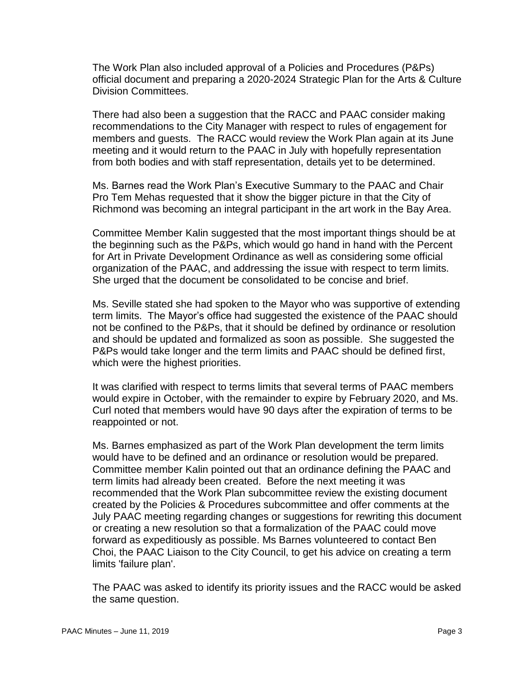The Work Plan also included approval of a Policies and Procedures (P&Ps) official document and preparing a 2020-2024 Strategic Plan for the Arts & Culture Division Committees.

There had also been a suggestion that the RACC and PAAC consider making recommendations to the City Manager with respect to rules of engagement for members and guests. The RACC would review the Work Plan again at its June meeting and it would return to the PAAC in July with hopefully representation from both bodies and with staff representation, details yet to be determined.

Ms. Barnes read the Work Plan's Executive Summary to the PAAC and Chair Pro Tem Mehas requested that it show the bigger picture in that the City of Richmond was becoming an integral participant in the art work in the Bay Area.

Committee Member Kalin suggested that the most important things should be at the beginning such as the P&Ps, which would go hand in hand with the Percent for Art in Private Development Ordinance as well as considering some official organization of the PAAC, and addressing the issue with respect to term limits. She urged that the document be consolidated to be concise and brief.

Ms. Seville stated she had spoken to the Mayor who was supportive of extending term limits. The Mayor's office had suggested the existence of the PAAC should not be confined to the P&Ps, that it should be defined by ordinance or resolution and should be updated and formalized as soon as possible. She suggested the P&Ps would take longer and the term limits and PAAC should be defined first, which were the highest priorities.

It was clarified with respect to terms limits that several terms of PAAC members would expire in October, with the remainder to expire by February 2020, and Ms. Curl noted that members would have 90 days after the expiration of terms to be reappointed or not.

Ms. Barnes emphasized as part of the Work Plan development the term limits would have to be defined and an ordinance or resolution would be prepared. Committee member Kalin pointed out that an ordinance defining the PAAC and term limits had already been created. Before the next meeting it was recommended that the Work Plan subcommittee review the existing document created by the Policies & Procedures subcommittee and offer comments at the July PAAC meeting regarding changes or suggestions for rewriting this document or creating a new resolution so that a formalization of the PAAC could move forward as expeditiously as possible. Ms Barnes volunteered to contact Ben Choi, the PAAC Liaison to the City Council, to get his advice on creating a term limits 'failure plan'.

The PAAC was asked to identify its priority issues and the RACC would be asked the same question.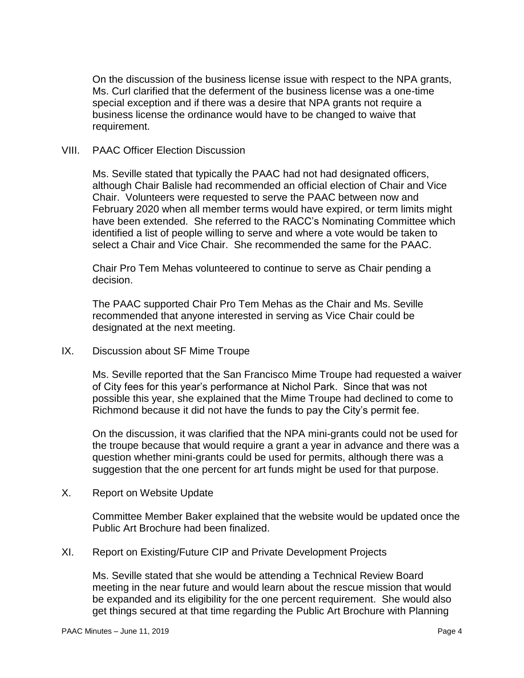On the discussion of the business license issue with respect to the NPA grants, Ms. Curl clarified that the deferment of the business license was a one-time special exception and if there was a desire that NPA grants not require a business license the ordinance would have to be changed to waive that requirement.

### VIII. PAAC Officer Election Discussion

Ms. Seville stated that typically the PAAC had not had designated officers, although Chair Balisle had recommended an official election of Chair and Vice Chair. Volunteers were requested to serve the PAAC between now and February 2020 when all member terms would have expired, or term limits might have been extended. She referred to the RACC's Nominating Committee which identified a list of people willing to serve and where a vote would be taken to select a Chair and Vice Chair. She recommended the same for the PAAC.

Chair Pro Tem Mehas volunteered to continue to serve as Chair pending a decision.

The PAAC supported Chair Pro Tem Mehas as the Chair and Ms. Seville recommended that anyone interested in serving as Vice Chair could be designated at the next meeting.

IX. Discussion about SF Mime Troupe

Ms. Seville reported that the San Francisco Mime Troupe had requested a waiver of City fees for this year's performance at Nichol Park. Since that was not possible this year, she explained that the Mime Troupe had declined to come to Richmond because it did not have the funds to pay the City's permit fee.

On the discussion, it was clarified that the NPA mini-grants could not be used for the troupe because that would require a grant a year in advance and there was a question whether mini-grants could be used for permits, although there was a suggestion that the one percent for art funds might be used for that purpose.

X. Report on Website Update

Committee Member Baker explained that the website would be updated once the Public Art Brochure had been finalized.

XI. Report on Existing/Future CIP and Private Development Projects

Ms. Seville stated that she would be attending a Technical Review Board meeting in the near future and would learn about the rescue mission that would be expanded and its eligibility for the one percent requirement. She would also get things secured at that time regarding the Public Art Brochure with Planning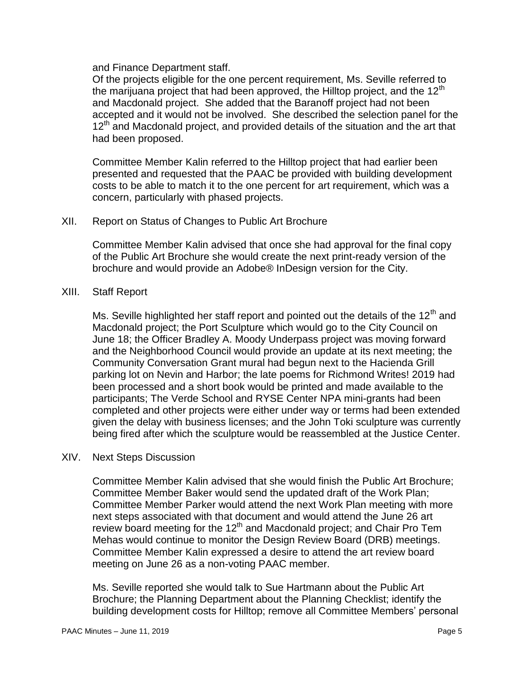and Finance Department staff.

Of the projects eligible for the one percent requirement, Ms. Seville referred to the marijuana project that had been approved, the Hilltop project, and the 12<sup>th</sup> and Macdonald project. She added that the Baranoff project had not been accepted and it would not be involved. She described the selection panel for the 12<sup>th</sup> and Macdonald project, and provided details of the situation and the art that had been proposed.

Committee Member Kalin referred to the Hilltop project that had earlier been presented and requested that the PAAC be provided with building development costs to be able to match it to the one percent for art requirement, which was a concern, particularly with phased projects.

### XII. Report on Status of Changes to Public Art Brochure

Committee Member Kalin advised that once she had approval for the final copy of the Public Art Brochure she would create the next print-ready version of the brochure and would provide an Adobe® InDesign version for the City.

#### XIII. Staff Report

Ms. Seville highlighted her staff report and pointed out the details of the  $12<sup>th</sup>$  and Macdonald project; the Port Sculpture which would go to the City Council on June 18; the Officer Bradley A. Moody Underpass project was moving forward and the Neighborhood Council would provide an update at its next meeting; the Community Conversation Grant mural had begun next to the Hacienda Grill parking lot on Nevin and Harbor; the late poems for Richmond Writes! 2019 had been processed and a short book would be printed and made available to the participants; The Verde School and RYSE Center NPA mini-grants had been completed and other projects were either under way or terms had been extended given the delay with business licenses; and the John Toki sculpture was currently being fired after which the sculpture would be reassembled at the Justice Center.

### XIV. Next Steps Discussion

Committee Member Kalin advised that she would finish the Public Art Brochure; Committee Member Baker would send the updated draft of the Work Plan; Committee Member Parker would attend the next Work Plan meeting with more next steps associated with that document and would attend the June 26 art review board meeting for the  $12<sup>th</sup>$  and Macdonald project; and Chair Pro Tem Mehas would continue to monitor the Design Review Board (DRB) meetings. Committee Member Kalin expressed a desire to attend the art review board meeting on June 26 as a non-voting PAAC member.

Ms. Seville reported she would talk to Sue Hartmann about the Public Art Brochure; the Planning Department about the Planning Checklist; identify the building development costs for Hilltop; remove all Committee Members' personal